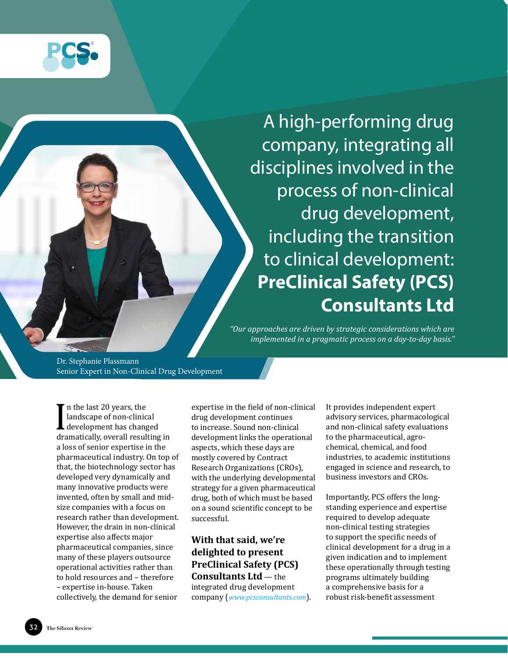

A high-performing drug company, integrating all disciplines involved in the process of non-clinical drug development, including the transition to clinical development: **[PreClinical Safety \(PCS\)](www.pcsconsultants.com)  [Consultants Ltd](www.pcsconsultants.com)**

*"Our approaches are driven by strategic considerations which are implemented in a pragmatic process on a day-to-day basis."*

Dr. Stephanie Plassmann Senior Expert in Non-Clinical Drug Development

 $\prod_{\substack{dr \in \mathbb{Z}^2}}$ n the last 20 years, the landscape of non-clinical development has changed dramatically, overall resulting in a loss of senior expertise in the pharmaceutical industry. On top of that, the biotechnology sector has developed very dynamically and many innovative products were invented, often by small and midsize companies with a focus on research rather than development. However, the drain in non-clinical expertise also affects major pharmaceutical companies, since many of these players outsource operational activities rather than to hold resources and – therefore – expertise in-house. Taken collectively, the demand for senior

expertise in the field of non-clinical drug development continues to increase. Sound non-clinical development links the operational aspects, which these days are mostly covered by Contract Research Organizations (CROs), with the underlying developmental strategy for a given pharmaceutical drug, both of which must be based on a sound scientific concept to be successful.

### **With that said, we're delighted to present PreClinical Safety (PCS) Consultants Ltd** — the

integrated drug development company (*<www.pcsconsultants.com>*). It provides independent expert advisory services, pharmacological and non-clinical safety evaluations to the pharmaceutical, agrochemical, chemical, and food industries, to academic institutions engaged in science and research, to business investors and CROs.

Importantly, PCS offers the longstanding experience and expertise required to develop adequate non-clinical testing strategies to support the specific needs of clinical development for a drug in a given indication and to implement these operationally through testing programs ultimately building a comprehensive basis for a robust risk-benefit assessment

32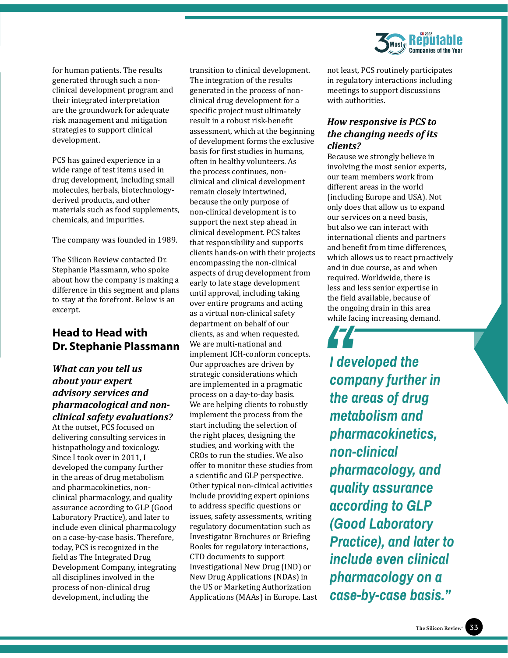

for human patients. The results generated through such a nonclinical development program and their integrated interpretation are the groundwork for adequate risk management and mitigation strategies to support clinical development.

PCS has gained experience in a wide range of test items used in drug development, including small molecules, herbals, biotechnologyderived products, and other materials such as food supplements, chemicals, and impurities.

The company was founded in 1989.

The Silicon Review contacted Dr. Stephanie Plassmann, who spoke about how the company is making a difference in this segment and plans to stay at the forefront. Below is an excerpt.

## **Head to Head with Dr. Stephanie Plassmann**

#### *What can you tell us about your expert advisory services and pharmacological and nonclinical safety evaluations?*

At the outset, PCS focused on delivering consulting services in histopathology and toxicology. Since I took over in 2011, I developed the company further in the areas of drug metabolism and pharmacokinetics, nonclinical pharmacology, and quality assurance according to GLP (Good Laboratory Practice), and later to include even clinical pharmacology on a case-by-case basis. Therefore, today, PCS is recognized in the field as The Integrated Drug Development Company, integrating all disciplines involved in the process of non-clinical drug development, including the

transition to clinical development. The integration of the results generated in the process of nonclinical drug development for a specific project must ultimately result in a robust risk-benefit assessment, which at the beginning of development forms the exclusive basis for first studies in humans, often in healthy volunteers. As the process continues, nonclinical and clinical development remain closely intertwined, because the only purpose of non-clinical development is to support the next step ahead in clinical development. PCS takes that responsibility and supports clients hands-on with their projects encompassing the non-clinical aspects of drug development from early to late stage development until approval, including taking over entire programs and acting as a virtual non-clinical safety department on behalf of our clients, as and when requested. We are multi-national and implement ICH-conform concepts. Our approaches are driven by strategic considerations which are implemented in a pragmatic process on a day-to-day basis. We are helping clients to robustly implement the process from the start including the selection of the right places, designing the studies, and working with the CROs to run the studies. We also offer to monitor these studies from a scientific and GLP perspective. Other typical non-clinical activities include providing expert opinions to address specific questions or issues, safety assessments, writing regulatory documentation such as Investigator Brochures or Briefing Books for regulatory interactions, CTD documents to support Investigational New Drug (IND) or New Drug Applications (NDAs) in the US or Marketing Authorization Applications (MAAs) in Europe. Last not least, PCS routinely participates in regulatory interactions including meetings to support discussions with authorities.

#### *How responsive is PCS to the changing needs of its clients?*

Because we strongly believe in involving the most senior experts, our team members work from different areas in the world (including Europe and USA). Not only does that allow us to expand our services on a need basis, but also we can interact with international clients and partners and benefit from time differences, which allows us to react proactively and in due course, as and when required. Worldwide, there is less and less senior expertise in the field available, because of the ongoing drain in this area while facing increasing demand.

*I developed the company further in the areas of drug metabolism and pharmacokinetics, non-clinical pharmacology, and quality assurance according to GLP (Good Laboratory Practice), and later to include even clinical pharmacology on a case-by-case basis."* while fa<br>
I dev<br>
com<br>
the c